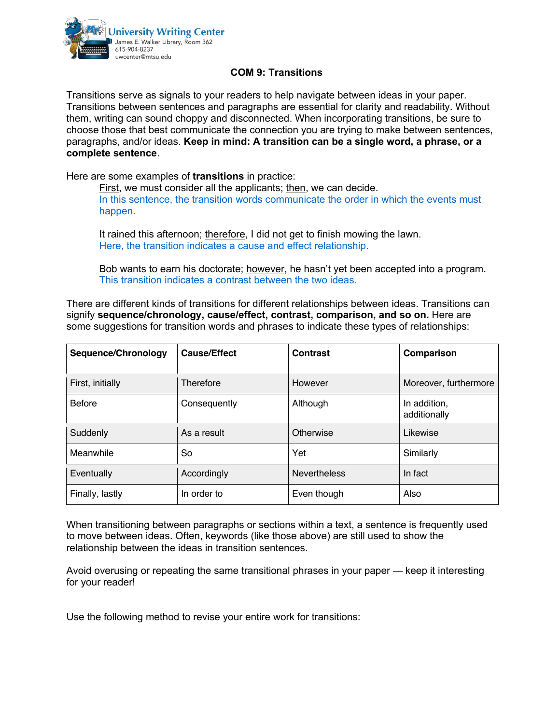

## **COM 9: Transitions**

Transitions serve as signals to your readers to help navigate between ideas in your paper. Transitions between sentences and paragraphs are essential for clarity and readability. Without them, writing can sound choppy and disconnected. When incorporating transitions, be sure to choose those that best communicate the connection you are trying to make between sentences, paragraphs, and/or ideas. **Keep in mind: A transition can be a single word, a phrase, or a complete sentence**.

Here are some examples of **transitions** in practice:

First, we must consider all the applicants; then, we can decide. In this sentence, the transition words communicate the order in which the events must happen.

It rained this afternoon; therefore, I did not get to finish mowing the lawn. Here, the transition indicates a cause and effect relationship.

Bob wants to earn his doctorate; however, he hasn't yet been accepted into a program. This transition indicates a contrast between the two ideas.

There are different kinds of transitions for different relationships between ideas. Transitions can signify **sequence/chronology, cause/effect, contrast, comparison, and so on.** Here are some suggestions for transition words and phrases to indicate these types of relationships:

| Sequence/Chronology | <b>Cause/Effect</b> | Contrast            | Comparison                   |
|---------------------|---------------------|---------------------|------------------------------|
| First, initially    | Therefore           | However             | Moreover, furthermore        |
| <b>Before</b>       | Consequently        | Although            | In addition,<br>additionally |
| Suddenly            | As a result         | Otherwise           | Likewise                     |
| Meanwhile           | So                  | Yet                 | Similarly                    |
| Eventually          | Accordingly         | <b>Nevertheless</b> | In fact                      |
| Finally, lastly     | In order to         | Even though         | Also                         |

When transitioning between paragraphs or sections within a text, a sentence is frequently used to move between ideas. Often, keywords (like those above) are still used to show the relationship between the ideas in transition sentences.

Avoid overusing or repeating the same transitional phrases in your paper — keep it interesting for your reader!

Use the following method to revise your entire work for transitions: